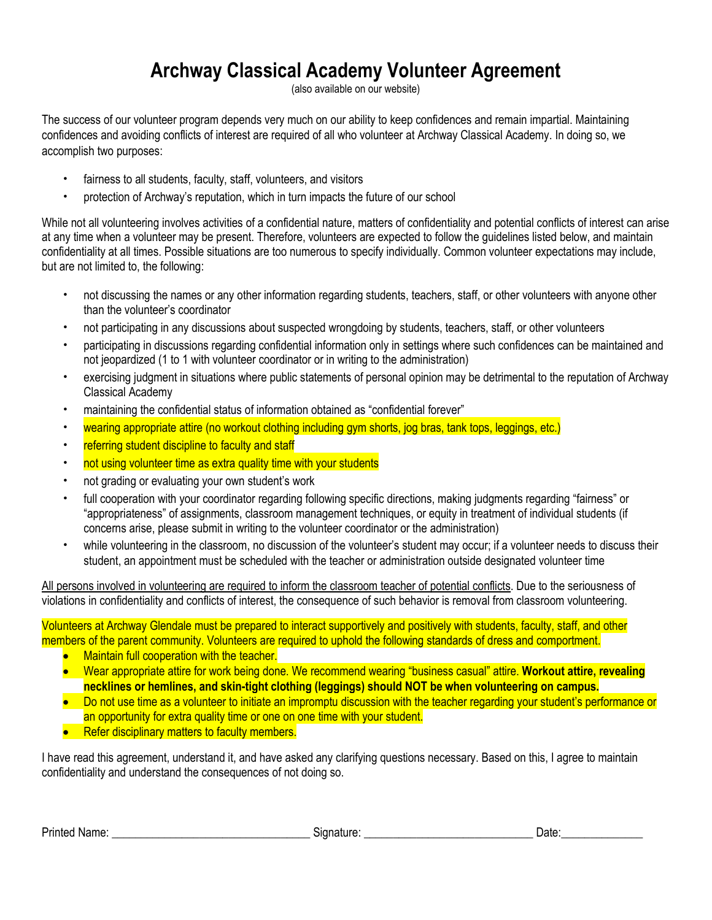## **Archway Classical Academy Volunteer Agreement**

(also available on our website)

The success of our volunteer program depends very much on our ability to keep confidences and remain impartial. Maintaining confidences and avoiding conflicts of interest are required of all who volunteer at Archway Classical Academy. In doing so, we accomplish two purposes:

- fairness to all students, faculty, staff, volunteers, and visitors
- protection of Archway's reputation, which in turn impacts the future of our school

While not all volunteering involves activities of a confidential nature, matters of confidentiality and potential conflicts of interest can arise at any time when a volunteer may be present. Therefore, volunteers are expected to follow the guidelines listed below, and maintain confidentiality at all times. Possible situations are too numerous to specify individually. Common volunteer expectations may include, but are not limited to, the following:

- not discussing the names or any other information regarding students, teachers, staff, or other volunteers with anyone other than the volunteer's coordinator
- not participating in any discussions about suspected wrongdoing by students, teachers, staff, or other volunteers
- participating in discussions regarding confidential information only in settings where such confidences can be maintained and not jeopardized (1 to 1 with volunteer coordinator or in writing to the administration)
- exercising judgment in situations where public statements of personal opinion may be detrimental to the reputation of Archway Classical Academy
- maintaining the confidential status of information obtained as "confidential forever"
- wearing appropriate attire (no workout clothing including gym shorts, jog bras, tank tops, leggings, etc.)
- referring student discipline to faculty and staff
- not using volunteer time as extra quality time with your students
- not grading or evaluating your own student's work
- full cooperation with your coordinator regarding following specific directions, making judgments regarding "fairness" or "appropriateness" of assignments, classroom management techniques, or equity in treatment of individual students (if concerns arise, please submit in writing to the volunteer coordinator or the administration)
- while volunteering in the classroom, no discussion of the volunteer's student may occur; if a volunteer needs to discuss their student, an appointment must be scheduled with the teacher or administration outside designated volunteer time

All persons involved in volunteering are required to inform the classroom teacher of potential conflicts. Due to the seriousness of violations in confidentiality and conflicts of interest, the consequence of such behavior is removal from classroom volunteering.

Volunteers at Archway Glendale must be prepared to interact supportively and positively with students, faculty, staff, and other members of the parent community. Volunteers are required to uphold the following standards of dress and comportment.

- Maintain full cooperation with the teacher.
- Wear appropriate attire for work being done. We recommend wearing "business casual" attire. **Workout attire, revealing necklines or hemlines, and skin-tight clothing (leggings) should NOT be when volunteering on campus.**
- Do not use time as a volunteer to initiate an impromptu discussion with the teacher regarding your student's performance or an opportunity for extra quality time or one on one time with your student.
- Refer disciplinary matters to faculty members.

I have read this agreement, understand it, and have asked any clarifying questions necessary. Based on this, I agree to maintain confidentiality and understand the consequences of not doing so.

| Printed<br>Name <sup>·</sup> | signature: | Date |
|------------------------------|------------|------|
|------------------------------|------------|------|